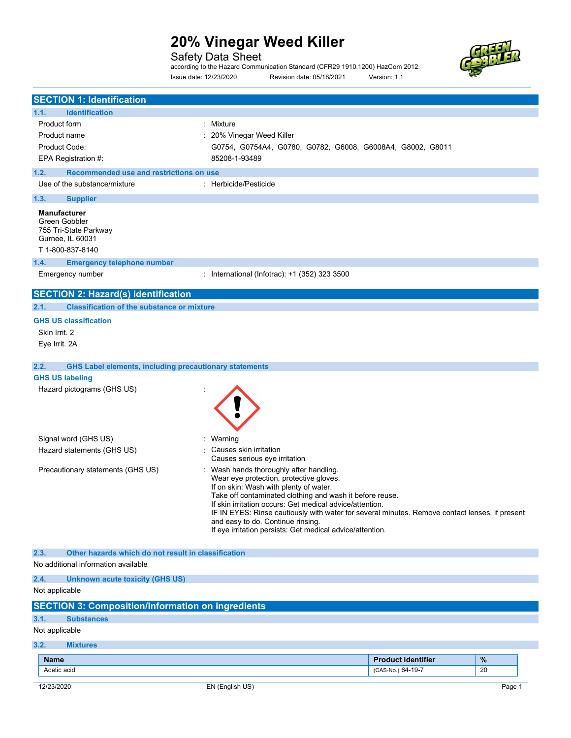Safety Data Sheet

according to the Hazard Communication Standard (CFR29 1910.1200) HazCom 2012. Issue date: 12/23/2020 Revision date: 05/18/2021 Version: 1.1



| <b>SECTION 1: Identification</b>                                                                                                                                                                                                                                                                                                                                                                                                                                                              |                                                            |                                   |
|-----------------------------------------------------------------------------------------------------------------------------------------------------------------------------------------------------------------------------------------------------------------------------------------------------------------------------------------------------------------------------------------------------------------------------------------------------------------------------------------------|------------------------------------------------------------|-----------------------------------|
| 1.1.<br><b>Identification</b>                                                                                                                                                                                                                                                                                                                                                                                                                                                                 |                                                            |                                   |
| <b>Product form</b>                                                                                                                                                                                                                                                                                                                                                                                                                                                                           | : Mixture                                                  |                                   |
| Product name                                                                                                                                                                                                                                                                                                                                                                                                                                                                                  | : 20% Vinegar Weed Killer                                  |                                   |
| Product Code:                                                                                                                                                                                                                                                                                                                                                                                                                                                                                 | G0754, G0754A4, G0780, G0782, G6008, G6008A4, G8002, G8011 |                                   |
| EPA Registration #:                                                                                                                                                                                                                                                                                                                                                                                                                                                                           | 85208-1-93489                                              |                                   |
| 1.2.<br>Recommended use and restrictions on use                                                                                                                                                                                                                                                                                                                                                                                                                                               |                                                            |                                   |
| Use of the substance/mixture                                                                                                                                                                                                                                                                                                                                                                                                                                                                  | : Herbicide/Pesticide                                      |                                   |
| 1.3.<br><b>Supplier</b>                                                                                                                                                                                                                                                                                                                                                                                                                                                                       |                                                            |                                   |
| <b>Manufacturer</b><br>Green Gobbler<br>755 Tri-State Parkway<br>Gurnee, IL 60031<br>T 1-800-837-8140                                                                                                                                                                                                                                                                                                                                                                                         |                                                            |                                   |
| 1.4.<br><b>Emergency telephone number</b>                                                                                                                                                                                                                                                                                                                                                                                                                                                     |                                                            |                                   |
| Emergency number                                                                                                                                                                                                                                                                                                                                                                                                                                                                              | : International (Infotrac): +1 (352) 323 3500              |                                   |
| <b>SECTION 2: Hazard(s) identification</b>                                                                                                                                                                                                                                                                                                                                                                                                                                                    |                                                            |                                   |
| <b>Classification of the substance or mixture</b><br>2.1.                                                                                                                                                                                                                                                                                                                                                                                                                                     |                                                            |                                   |
| <b>GHS US classification</b>                                                                                                                                                                                                                                                                                                                                                                                                                                                                  |                                                            |                                   |
| Skin Irrit. 2                                                                                                                                                                                                                                                                                                                                                                                                                                                                                 |                                                            |                                   |
| Eye Irrit. 2A                                                                                                                                                                                                                                                                                                                                                                                                                                                                                 |                                                            |                                   |
| 2.2.<br><b>GHS Label elements, including precautionary statements</b>                                                                                                                                                                                                                                                                                                                                                                                                                         |                                                            |                                   |
| <b>GHS US labeling</b>                                                                                                                                                                                                                                                                                                                                                                                                                                                                        |                                                            |                                   |
| Hazard pictograms (GHS US)                                                                                                                                                                                                                                                                                                                                                                                                                                                                    |                                                            |                                   |
| Signal word (GHS US)                                                                                                                                                                                                                                                                                                                                                                                                                                                                          | : Warning                                                  |                                   |
| Hazard statements (GHS US)                                                                                                                                                                                                                                                                                                                                                                                                                                                                    | Causes skin irritation<br>Causes serious eye irritation    |                                   |
| : Wash hands thoroughly after handling.<br>Precautionary statements (GHS US)<br>Wear eye protection, protective gloves.<br>If on skin: Wash with plenty of water.<br>Take off contaminated clothing and wash it before reuse.<br>If skin irritation occurs: Get medical advice/attention.<br>IF IN EYES: Rinse cautiously with water for several minutes. Remove contact lenses, if present<br>and easy to do. Continue rinsing.<br>If eye irritation persists: Get medical advice/attention. |                                                            |                                   |
| 2.3.<br>Other hazards which do not result in classification<br>No additional information available                                                                                                                                                                                                                                                                                                                                                                                            |                                                            |                                   |
| 2.4.<br><b>Unknown acute toxicity (GHS US)</b>                                                                                                                                                                                                                                                                                                                                                                                                                                                |                                                            |                                   |
| Not applicable                                                                                                                                                                                                                                                                                                                                                                                                                                                                                |                                                            |                                   |
| <b>SECTION 3: Composition/Information on ingredients</b>                                                                                                                                                                                                                                                                                                                                                                                                                                      |                                                            |                                   |
| 3.1.<br><b>Substances</b>                                                                                                                                                                                                                                                                                                                                                                                                                                                                     |                                                            |                                   |
| Not applicable                                                                                                                                                                                                                                                                                                                                                                                                                                                                                |                                                            |                                   |
| 3.2.<br><b>Mixtures</b>                                                                                                                                                                                                                                                                                                                                                                                                                                                                       |                                                            |                                   |
| <b>Name</b>                                                                                                                                                                                                                                                                                                                                                                                                                                                                                   |                                                            | $\%$<br><b>Product identifier</b> |
| Acetic acid                                                                                                                                                                                                                                                                                                                                                                                                                                                                                   |                                                            | 20<br>(CAS-No.) 64-19-7           |
| 12/23/2020                                                                                                                                                                                                                                                                                                                                                                                                                                                                                    | EN (English US)                                            | Page 1                            |
|                                                                                                                                                                                                                                                                                                                                                                                                                                                                                               |                                                            |                                   |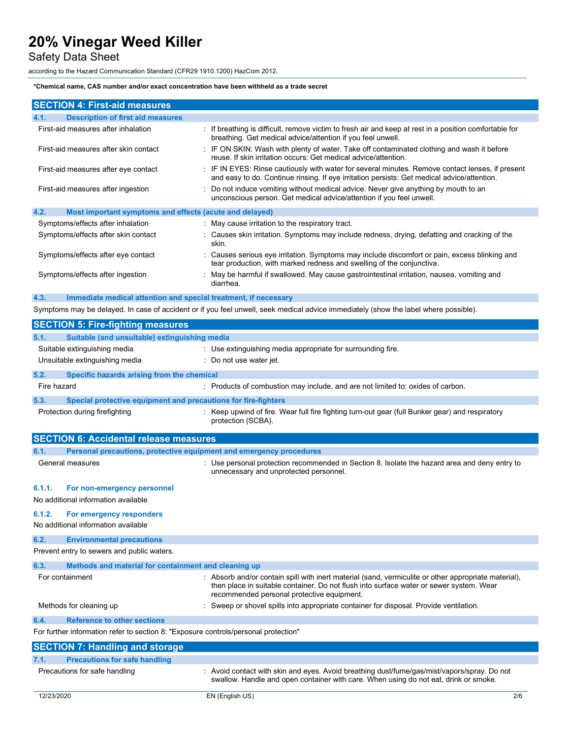Safety Data Sheet

according to the Hazard Communication Standard (CFR29 1910.1200) HazCom 2012.

### \*Chemical name, CAS number and/or exact concentration have been withheld as a trade secret

| <b>SECTION 4: First-aid measures</b>                            |                                                                                                                                                                                                 |
|-----------------------------------------------------------------|-------------------------------------------------------------------------------------------------------------------------------------------------------------------------------------------------|
| <b>Description of first aid measures</b><br>4.1.                |                                                                                                                                                                                                 |
| First-aid measures after inhalation                             | : If breathing is difficult, remove victim to fresh air and keep at rest in a position comfortable for<br>breathing. Get medical advice/attention if you feel unwell.                           |
| First-aid measures after skin contact                           | : IF ON SKIN: Wash with plenty of water. Take off contaminated clothing and wash it before<br>reuse. If skin irritation occurs: Get medical advice/attention.                                   |
| First-aid measures after eye contact                            | : IF IN EYES: Rinse cautiously with water for several minutes. Remove contact lenses, if present<br>and easy to do. Continue rinsing. If eye irritation persists: Get medical advice/attention. |
| First-aid measures after ingestion                              | Do not induce vomiting without medical advice. Never give anything by mouth to an<br>unconscious person. Get medical advice/attention if you feel unwell.                                       |
| 4.2.<br>Most important symptoms and effects (acute and delayed) |                                                                                                                                                                                                 |
| Symptoms/effects after inhalation                               | : May cause irritation to the respiratory tract.                                                                                                                                                |
| Symptoms/effects after skin contact                             | : Causes skin irritation. Symptoms may include redness, drying, defatting and cracking of the<br>skin.                                                                                          |
| Symptoms/effects after eye contact                              | Causes serious eye irritation. Symptoms may include discomfort or pain, excess blinking and<br>tear production, with marked redness and swelling of the conjunctiva.                            |
| Symptoms/effects after ingestion                                | : May be harmful if swallowed. May cause gastrointestinal irritation, nausea, vomiting and<br>diarrhea.                                                                                         |

4.3. Immediate medical attention and special treatment, if necessary

Symptoms may be delayed. In case of accident or if you feel unwell, seek medical advice immediately (show the label where possible).

| <b>SECTION 5: Fire-fighting measures</b>                                            |                                                                                                                                                                                                                                             |
|-------------------------------------------------------------------------------------|---------------------------------------------------------------------------------------------------------------------------------------------------------------------------------------------------------------------------------------------|
| Suitable (and unsuitable) extinguishing media<br>5.1.                               |                                                                                                                                                                                                                                             |
| Suitable extinguishing media<br>Unsuitable extinguishing media                      | : Use extinguishing media appropriate for surrounding fire.<br>Do not use water jet.                                                                                                                                                        |
| 5.2.<br>Specific hazards arising from the chemical                                  |                                                                                                                                                                                                                                             |
| Fire hazard                                                                         | : Products of combustion may include, and are not limited to: oxides of carbon.                                                                                                                                                             |
| 5.3.<br>Special protective equipment and precautions for fire-fighters              |                                                                                                                                                                                                                                             |
| Protection during firefighting                                                      | : Keep upwind of fire. Wear full fire fighting turn-out gear (full Bunker gear) and respiratory<br>protection (SCBA).                                                                                                                       |
| <b>SECTION 6: Accidental release measures</b>                                       |                                                                                                                                                                                                                                             |
| 6.1.                                                                                | Personal precautions, protective equipment and emergency procedures                                                                                                                                                                         |
| General measures                                                                    | : Use personal protection recommended in Section 8. Isolate the hazard area and deny entry to<br>unnecessary and unprotected personnel.                                                                                                     |
| 6.1.1.<br>For non-emergency personnel                                               |                                                                                                                                                                                                                                             |
| No additional information available                                                 |                                                                                                                                                                                                                                             |
| 6.1.2.<br>For emergency responders                                                  |                                                                                                                                                                                                                                             |
| No additional information available                                                 |                                                                                                                                                                                                                                             |
| <b>Environmental precautions</b><br>6.2.                                            |                                                                                                                                                                                                                                             |
| Prevent entry to sewers and public waters.                                          |                                                                                                                                                                                                                                             |
| Methods and material for containment and cleaning up<br>6.3.                        |                                                                                                                                                                                                                                             |
| For containment                                                                     | Absorb and/or contain spill with inert material (sand, vermiculite or other appropriate material),<br>then place in suitable container. Do not flush into surface water or sewer system. Wear<br>recommended personal protective equipment. |
| Methods for cleaning up                                                             | Sweep or shovel spills into appropriate container for disposal. Provide ventilation.                                                                                                                                                        |
| <b>Reference to other sections</b><br>6.4.                                          |                                                                                                                                                                                                                                             |
| For further information refer to section 8: "Exposure controls/personal protection" |                                                                                                                                                                                                                                             |
| <b>SECTION 7: Handling and storage</b>                                              |                                                                                                                                                                                                                                             |
| <b>Precautions for safe handling</b><br>7.1.                                        |                                                                                                                                                                                                                                             |
| Precautions for safe handling                                                       | : Avoid contact with skin and eyes. Avoid breathing dust/fume/gas/mist/vapors/spray. Do not                                                                                                                                                 |

swallow. Handle and open container with care. When using do not eat, drink or smoke.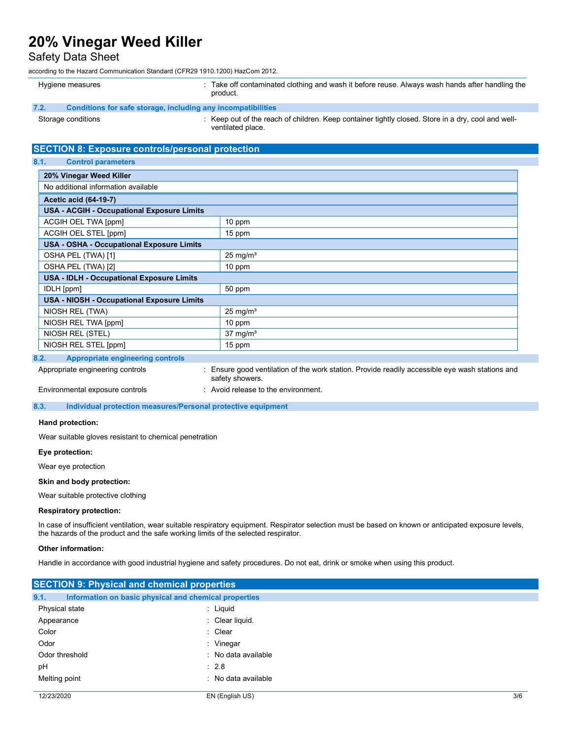## Safety Data Sheet

according to the Hazard Communication Standard (CFR29 1910.1200) HazCom 2012.

|      | Hygiene measures                                             | Take off contaminated clothing and wash it before reuse. Always wash hands after handling the<br>product.             |
|------|--------------------------------------------------------------|-----------------------------------------------------------------------------------------------------------------------|
| 7.2. | Conditions for safe storage, including any incompatibilities |                                                                                                                       |
|      | Storage conditions                                           | Keep out of the reach of children. Keep container tightly closed. Store in a dry, cool and well-<br>ventilated place. |

## SECTION 8: Exposure controls/personal protection

## 8.1. Control parameters

| 20% Vinegar Weed Killer                           |                     |  |
|---------------------------------------------------|---------------------|--|
| No additional information available               |                     |  |
| <b>Acetic acid (64-19-7)</b>                      |                     |  |
| <b>USA - ACGIH - Occupational Exposure Limits</b> |                     |  |
| ACGIH OEL TWA [ppm]                               | 10 ppm              |  |
| ACGIH OEL STEL [ppm]                              | 15 ppm              |  |
| <b>USA - OSHA - Occupational Exposure Limits</b>  |                     |  |
| OSHA PEL (TWA) [1]                                | $25 \text{ mg/m}^3$ |  |
| OSHA PEL (TWA) [2]                                | 10 ppm              |  |
| USA - IDLH - Occupational Exposure Limits         |                     |  |
| IDLH [ppm]                                        | 50 ppm              |  |
| <b>USA - NIOSH - Occupational Exposure Limits</b> |                     |  |
| NIOSH REL (TWA)                                   | $25 \text{ mg/m}^3$ |  |
| NIOSH REL TWA [ppm]                               | 10 ppm              |  |
| NIOSH REL (STEL)                                  | $37 \text{ mg/m}^3$ |  |
| NIOSH REL STEL [ppm]                              | 15 ppm              |  |
| Annuanuiate eneineeuine eentuele<br>n o           |                     |  |

## 8.2. Appropriate engineering controls

Appropriate engineering controls : Ensure good ventilation of the work station. Provide readily accessible eye wash stations and safety showers.

Environmental exposure controls : Avoid release to the environment.

8.3. Individual protection measures/Personal protective equipment

### Hand protection:

Wear suitable gloves resistant to chemical penetration

#### Eye protection:

Wear eye protection

### Skin and body protection:

Wear suitable protective clothing

### Respiratory protection:

In case of insufficient ventilation, wear suitable respiratory equipment. Respirator selection must be based on known or anticipated exposure levels, the hazards of the product and the safe working limits of the selected respirator.

#### Other information:

Handle in accordance with good industrial hygiene and safety procedures. Do not eat, drink or smoke when using this product.

| <b>SECTION 9: Physical and chemical properties</b> |                                                       |     |
|----------------------------------------------------|-------------------------------------------------------|-----|
| 9.1.                                               | Information on basic physical and chemical properties |     |
| Physical state                                     | : Liquid                                              |     |
| Appearance                                         | : Clear liquid.                                       |     |
| Color                                              | : Clear                                               |     |
| Odor                                               | : Vinegar                                             |     |
| Odor threshold                                     | : No data available                                   |     |
| pH                                                 | $\therefore$ 2.8                                      |     |
| Melting point                                      | : No data available                                   |     |
| 12/23/2020                                         | EN (English US)                                       | 3/6 |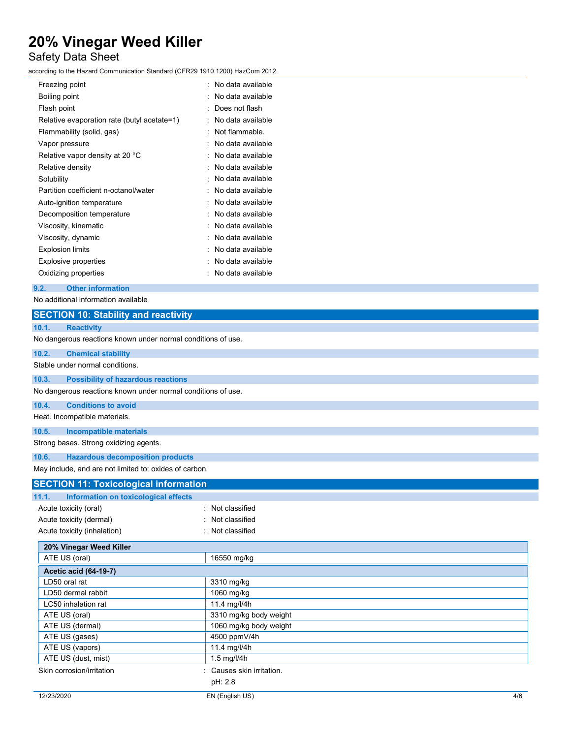# Safety Data Sheet

according to the Hazard Communication Standard (CFR29 1910.1200) HazCom 2012.

| Freezing point                              | . No data available   |
|---------------------------------------------|-----------------------|
| Boiling point                               | No data available     |
| Flash point                                 | Does not flash        |
| Relative evaporation rate (butyl acetate=1) | No data available     |
| Flammability (solid, gas)                   | Not flammable.        |
| Vapor pressure                              | · No data available   |
| Relative vapor density at 20 °C             | : No data available   |
| Relative density                            | No data available     |
| Solubility                                  | No data available     |
| Partition coefficient n-octanol/water       | No data available     |
| Auto-ignition temperature                   | No data available     |
| Decomposition temperature                   | : No data available   |
| Viscosity, kinematic                        | $:$ No data available |
| Viscosity, dynamic                          | No data available     |
| <b>Explosion limits</b>                     | No data available     |
| Explosive properties                        | No data available     |
| Oxidizing properties                        | No data available     |
|                                             |                       |

## 9.2. Other information

No additional information available

| <b>SECTION 10: Stability and reactivity</b>                  |                         |  |
|--------------------------------------------------------------|-------------------------|--|
| 10.1.<br><b>Reactivity</b>                                   |                         |  |
| No dangerous reactions known under normal conditions of use. |                         |  |
| 10.2.<br><b>Chemical stability</b>                           |                         |  |
| Stable under normal conditions.                              |                         |  |
| <b>Possibility of hazardous reactions</b><br>10.3.           |                         |  |
| No dangerous reactions known under normal conditions of use. |                         |  |
| 10.4.<br><b>Conditions to avoid</b>                          |                         |  |
| Heat. Incompatible materials.                                |                         |  |
| <b>Incompatible materials</b><br>10.5.                       |                         |  |
| Strong bases. Strong oxidizing agents.                       |                         |  |
| <b>Hazardous decomposition products</b><br>10.6.             |                         |  |
| May include, and are not limited to: oxides of carbon.       |                         |  |
| <b>SECTION 11: Toxicological information</b>                 |                         |  |
| Information on toxicological effects<br>11.1.                |                         |  |
| Acute toxicity (oral)                                        | Not classified          |  |
| Acute toxicity (dermal)                                      | Not classified          |  |
| Acute toxicity (inhalation)                                  | Not classified          |  |
| 20% Vinegar Weed Killer                                      |                         |  |
| ATE US (oral)                                                | 16550 mg/kg             |  |
| <b>Acetic acid (64-19-7)</b>                                 |                         |  |
| LD50 oral rat                                                | 3310 mg/kg              |  |
| LD50 dermal rabbit                                           | 1060 mg/kg              |  |
| LC50 inhalation rat                                          | 11.4 mg/l/4h            |  |
| ATE US (oral)                                                | 3310 mg/kg body weight  |  |
| ATE US (dermal)                                              | 1060 mg/kg body weight  |  |
| ATE US (gases)                                               | 4500 ppmV/4h            |  |
| ATE US (vapors)                                              | 11.4 mg/l/4h            |  |
| ATE US (dust, mist)                                          | 1.5 mg/l/4h             |  |
| Skin corrosion/irritation                                    | Causes skin irritation. |  |
|                                                              | pH: 2.8                 |  |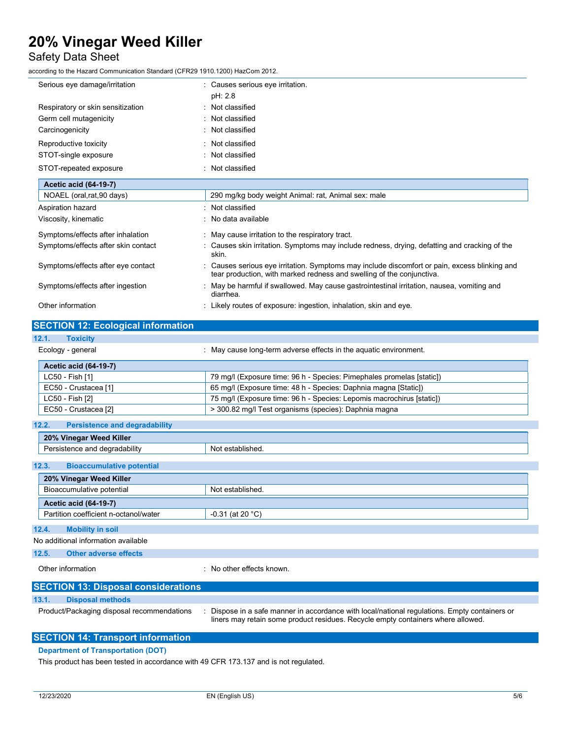## Safety Data Sheet

according to the Hazard Communication Standard (CFR29 1910.1200) HazCom 2012.

| Serious eye damage/irritation             | : Causes serious eye irritation.                                                                                                                                       |
|-------------------------------------------|------------------------------------------------------------------------------------------------------------------------------------------------------------------------|
|                                           | pH: 2.8                                                                                                                                                                |
| Respiratory or skin sensitization         | : Not classified                                                                                                                                                       |
| Germ cell mutagenicity                    | : Not classified                                                                                                                                                       |
| Carcinogenicity                           | : Not classified                                                                                                                                                       |
| Reproductive toxicity                     | : Not classified                                                                                                                                                       |
| STOT-single exposure                      | : Not classified                                                                                                                                                       |
| STOT-repeated exposure                    | : Not classified                                                                                                                                                       |
| <b>Acetic acid (64-19-7)</b>              |                                                                                                                                                                        |
| NOAEL (oral, rat, 90 days)                | 290 mg/kg body weight Animal: rat, Animal sex: male                                                                                                                    |
| Aspiration hazard                         | : Not classified                                                                                                                                                       |
| Viscosity, kinematic                      | : No data available                                                                                                                                                    |
| Symptoms/effects after inhalation         | : May cause irritation to the respiratory tract.                                                                                                                       |
| Symptoms/effects after skin contact       | : Causes skin irritation. Symptoms may include redness, drying, defatting and cracking of the<br>skin.                                                                 |
| Symptoms/effects after eye contact        | : Causes serious eye irritation. Symptoms may include discomfort or pain, excess blinking and<br>tear production, with marked redness and swelling of the conjunctiva. |
| Symptoms/effects after ingestion          | : May be harmful if swallowed. May cause gastrointestinal irritation, nausea, vomiting and<br>diarrhea.                                                                |
| Other information                         | : Likely routes of exposure: ingestion, inhalation, skin and eye.                                                                                                      |
|                                           |                                                                                                                                                                        |
| <b>SECTION 12: Ecological information</b> |                                                                                                                                                                        |

## 12.1. Toxicity

| Ecology - general            | : May cause long-term adverse effects in the aguatic environment.     |
|------------------------------|-----------------------------------------------------------------------|
| <b>Acetic acid (64-19-7)</b> |                                                                       |
| LC50 - Fish [1]              | 79 mg/l (Exposure time: 96 h - Species: Pimephales promelas [static]) |
| EC50 - Crustacea [1]         | 65 mg/l (Exposure time: 48 h - Species: Daphnia magna [Static])       |
| LC50 - Fish [2]              | 75 mg/l (Exposure time: 96 h - Species: Lepomis macrochirus [static]) |
| EC50 - Crustacea [2]         | > 300.82 mg/l Test organisms (species): Daphnia magna                 |

| 12.2.<br><b>Persistence and degradability</b> |                    |
|-----------------------------------------------|--------------------|
| 20% Vinegar Weed Killer                       |                    |
| Persistence and degradability                 | Not established.   |
| 12.3.<br><b>Bioaccumulative potential</b>     |                    |
| 20% Vinegar Weed Killer                       |                    |
| Bioaccumulative potential                     | Not established.   |
| Acetic acid (64-19-7)                         |                    |
| Partition coefficient n-octanol/water         | $-0.31$ (at 20 °C) |
| 12.4.<br><b>Mobility in soil</b>              |                    |
| No additional information available           |                    |
| <b>Other adverse effects</b><br>12.5.         |                    |

Other information **interest in the contract of the CO** interest and the CO interest of the CO interest of the CO

## SECTION 13: Disposal considerations

## 13.1. Disposal methods

Product/Packaging disposal recommendations : Dispose in a safe manner in accordance with local/national regulations. Empty containers or liners may retain some product residues. Recycle empty containers where allowed.

## SECTION 14: Transport information

## Department of Transportation (DOT)

This product has been tested in accordance with 49 CFR 173.137 and is not regulated.